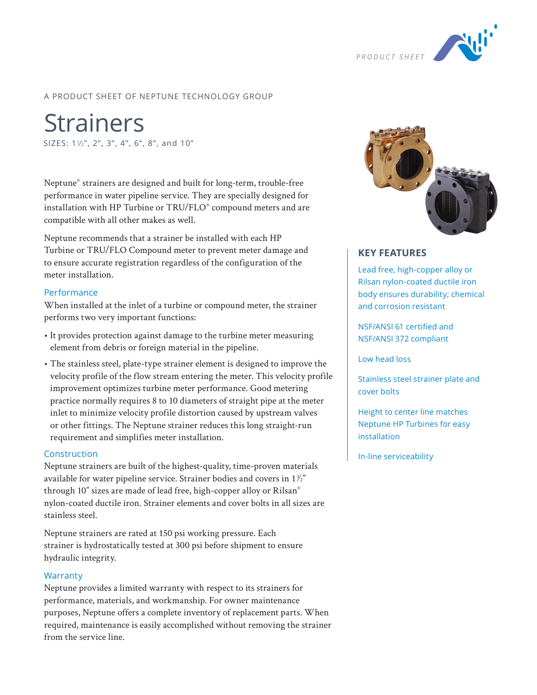

### A PRODUCT SHEET OF NEPTUNE TECHNOLOGY GROUP

**Strainers** SIZES:  $1\frac{1}{2}$ , 2", 3", 4", 6", 8", and 10"

Neptune® strainers are designed and built for long-term, trouble-free performance in water pipeline service. They are specially designed for installation with HP Turbine or TRU/FLO® compound meters and are compatible with all other makes as well.

Neptune recommends that a strainer be installed with each HP Turbine or TRU/FLO Compound meter to prevent meter damage and to ensure accurate registration regardless of the configuration of the meter installation.

### Performance

When installed at the inlet of a turbine or compound meter, the strainer performs two very important functions:

- It provides protection against damage to the turbine meter measuring element from debris or foreign material in the pipeline.
- The stainless steel, plate-type strainer element is designed to improve the velocity profile of the flow stream entering the meter. This velocity profile improvement optimizes turbine meter performance. Good metering practice normally requires 8 to 10 diameters of straight pipe at the meter inlet to minimize velocity profile distortion caused by upstream valves or other fittings. The Neptune strainer reduces this long straight-run requirement and simplifies meter installation.

### Construction

Neptune strainers are built of the highest-quality, time-proven materials available for water pipeline service. Strainer bodies and covers in  $1\frac{1}{2}$ through 10" sizes are made of lead free, high-copper alloy or Rilsan® nylon-coated ductile iron. Strainer elements and cover bolts in all sizes are stainless steel.

Neptune strainers are rated at 150 psi working pressure. Each strainer is hydrostatically tested at 300 psi before shipment to ensure hydraulic integrity.

#### **Warranty**

Neptune provides a limited warranty with respect to its strainers for performance, materials, and workmanship. For owner maintenance purposes, Neptune offers a complete inventory of replacement parts. When required, maintenance is easily accomplished without removing the strainer from the service line.



### **KEY FEATURES**

Lead free, high-copper alloy or Rilsan nylon-coated ductile iron body ensures durability; chemical and corrosion resistant

NSF/ANSI 61 certified and NSF/ANSI 372 compliant

Low head loss

Stainless steel strainer plate and cover bolts

Height to center line matches Neptune HP Turbines for easy installation

In-line serviceability